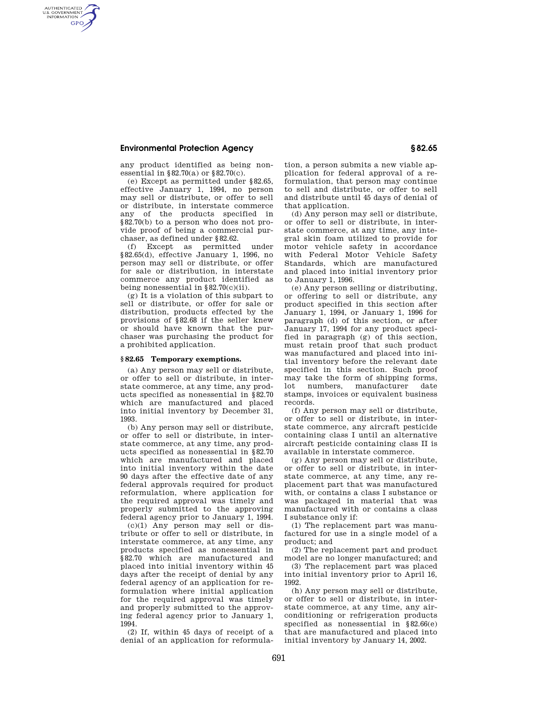## **Environmental Protection Agency § 82.65**

AUTHENTICATED<br>U.S. GOVERNMENT<br>INFORMATION **GPO** 

> any product identified as being nonessential in §82.70(a) or §82.70(c).

> (e) Except as permitted under §82.65, effective January 1, 1994, no person may sell or distribute, or offer to sell or distribute, in interstate commerce any of the products specified in §82.70(b) to a person who does not provide proof of being a commercial purchaser, as defined under §82.62.

> (f) Except as permitted under §82.65(d), effective January 1, 1996, no person may sell or distribute, or offer for sale or distribution, in interstate commerce any product identified as being nonessential in  $\S 82.70(c)(ii)$ .

> (g) It is a violation of this subpart to sell or distribute, or offer for sale or distribution, products effected by the provisions of §82.68 if the seller knew or should have known that the purchaser was purchasing the product for a prohibited application.

### **§ 82.65 Temporary exemptions.**

(a) Any person may sell or distribute, or offer to sell or distribute, in interstate commerce, at any time, any products specified as nonessential in §82.70 which are manufactured and placed into initial inventory by December 31, 1993.

(b) Any person may sell or distribute, or offer to sell or distribute, in interstate commerce, at any time, any products specified as nonessential in §82.70 which are manufactured and placed into initial inventory within the date 90 days after the effective date of any federal approvals required for product reformulation, where application for the required approval was timely and properly submitted to the approving federal agency prior to January 1, 1994.

(c)(1) Any person may sell or distribute or offer to sell or distribute, in interstate commerce, at any time, any products specified as nonessential in §82.70 which are manufactured and placed into initial inventory within 45 days after the receipt of denial by any federal agency of an application for reformulation where initial application for the required approval was timely and properly submitted to the approving federal agency prior to January 1, 1994.

(2) If, within 45 days of receipt of a denial of an application for reformulation, a person submits a new viable application for federal approval of a reformulation, that person may continue to sell and distribute, or offer to sell and distribute until 45 days of denial of that application.

(d) Any person may sell or distribute, or offer to sell or distribute, in interstate commerce, at any time, any integral skin foam utilized to provide for motor vehicle safety in accordance with Federal Motor Vehicle Safety Standards, which are manufactured and placed into initial inventory prior to January 1, 1996.

(e) Any person selling or distributing, or offering to sell or distribute, any product specified in this section after January 1, 1994, or January 1, 1996 for paragraph (d) of this section, or after January 17, 1994 for any product specified in paragraph (g) of this section, must retain proof that such product was manufactured and placed into initial inventory before the relevant date specified in this section. Such proof may take the form of shipping forms, lot numbers, manufacturer date stamps, invoices or equivalent business records.

(f) Any person may sell or distribute, or offer to sell or distribute, in interstate commerce, any aircraft pesticide containing class I until an alternative aircraft pesticide containing class II is available in interstate commerce.

(g) Any person may sell or distribute, or offer to sell or distribute, in interstate commerce, at any time, any replacement part that was manufactured with, or contains a class I substance or was packaged in material that was manufactured with or contains a class I substance only if:

(1) The replacement part was manufactured for use in a single model of a product; and

(2) The replacement part and product model are no longer manufactured; and

(3) The replacement part was placed into initial inventory prior to April 16, 1992.

(h) Any person may sell or distribute, or offer to sell or distribute, in interstate commerce, at any time, any airconditioning or refrigeration products specified as nonessential in §82.66(e) that are manufactured and placed into initial inventory by January 14, 2002.